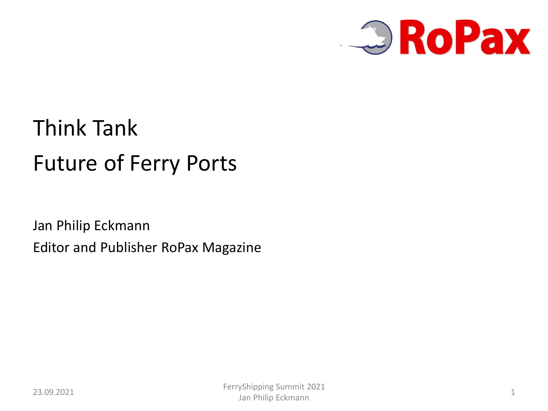

## Think Tank Future of Ferry Ports

Jan Philip Eckmann Editor and Publisher RoPax Magazine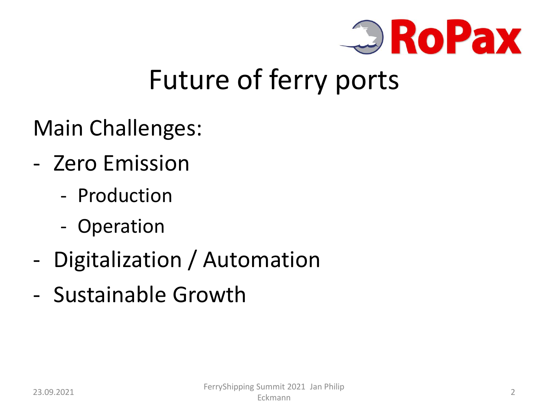

## Future of ferry ports

Main Challenges:

- Zero Emission
	- Production
	- Operation
- Digitalization / Automation
- Sustainable Growth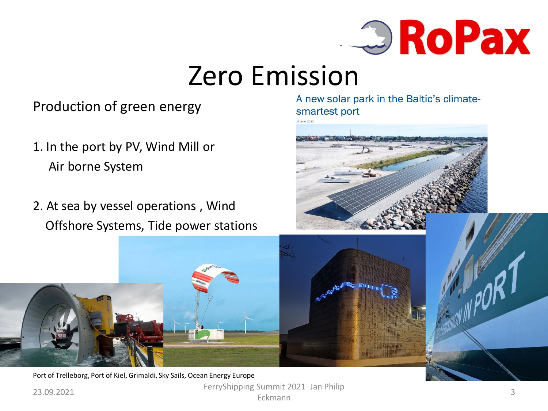

#### Zero Emission

#### Production of green energy

- 1. In the port by PV, Wind Mill or Air borne System
- 2. At sea by vessel operations , Wind Offshore Systems, Tide power stations

A new solar park in the Baltic's climatesmartest port





23.09.2021 FerryShipping Summit 2021 Jan Philip<br>Eckmann Eckmann 33 Port of Trelleborg, Port of Kiel, Grimaldi, Sky Sails, Ocean Energy Europe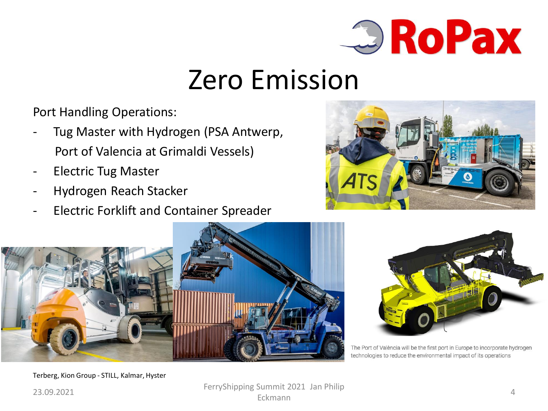

### Zero Emission

Port Handling Operations:

- Tug Master with Hydrogen (PSA Antwerp, Port of Valencia at Grimaldi Vessels)
- Electric Tug Master
- Hydrogen Reach Stacker
- Electric Forklift and Container Spreader







The Port of València will be the first port in Europe to incorporate hydrogen technologies to reduce the environmental impact of its operations

Terberg, Kion Group - STILL, Kalmar, Hyster

23.09.2021 FerryShipping Summit 2021 Jan Philip<br>Eckmann Eckmann **Album** 4 and 1997 and 1997 and 1998 and 1998 and 1998 and 1998 and 1998 and 1998 and 1998 and 1998 and 19<br>Eckmann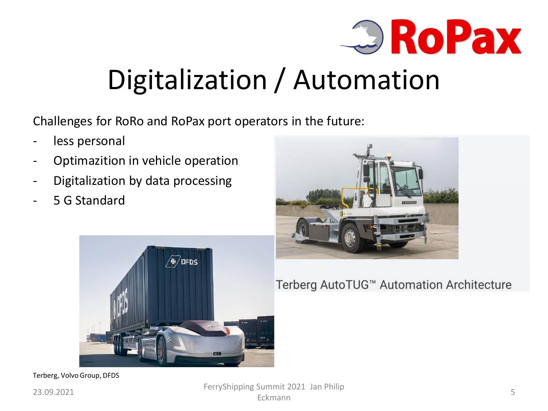

# Digitalization / Automation

Challenges for RoRo and RoPax port operators in the future:

- less personal
- Optimazition in vehicle operation
- Digitalization by data processing
- 5 G Standard





Terberg AutoTUG™ Automation Architecture

Terberg, Volvo Group, DFDS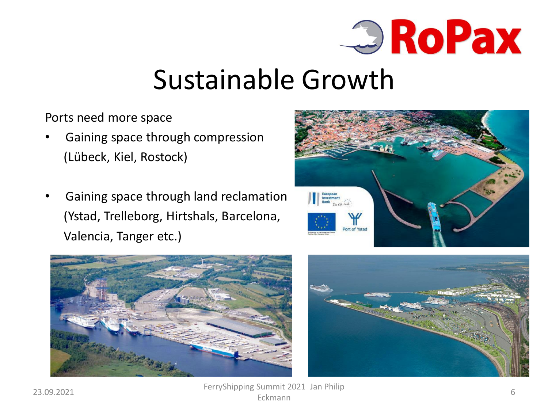

### Sustainable Growth

Ports need more space

- Gaining space through compression (Lübeck, Kiel, Rostock)
- Gaining space through land reclamation (Ystad, Trelleborg, Hirtshals, Barcelona, Valencia, Tanger etc.)







23.09.2021 FerryShipping Summit 2021 Jan Philip<br>Eckmann Eckmann **6**